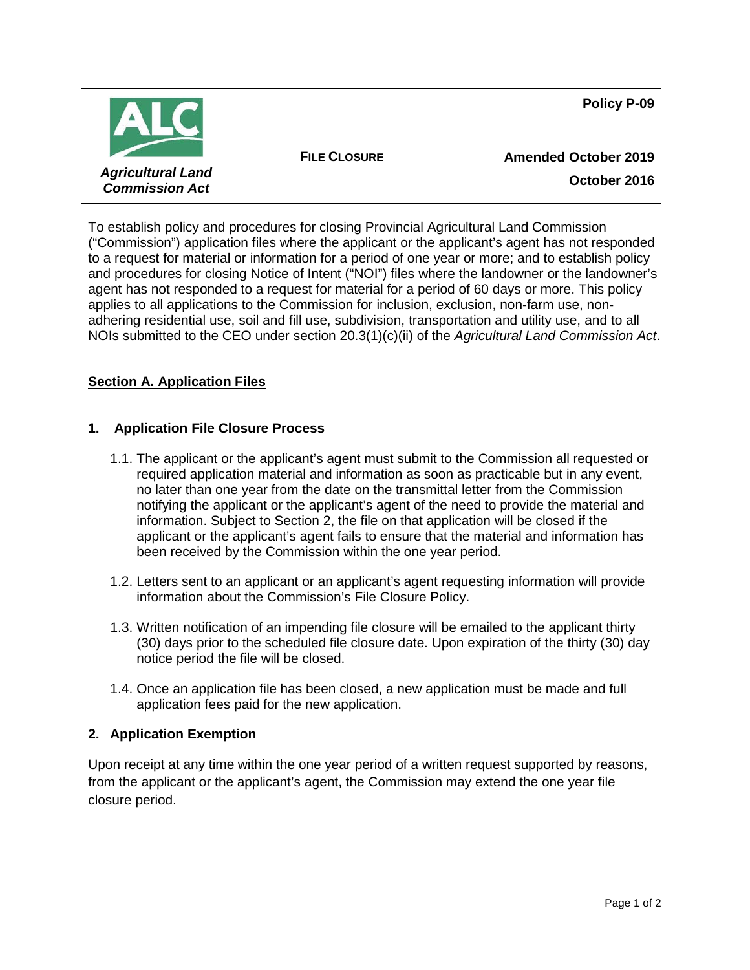|                                                   |                     | Policy P-09                 |
|---------------------------------------------------|---------------------|-----------------------------|
|                                                   | <b>FILE CLOSURE</b> | <b>Amended October 2019</b> |
| <b>Agricultural Land</b><br><b>Commission Act</b> |                     | October 2016                |

To establish policy and procedures for closing Provincial Agricultural Land Commission ("Commission") application files where the applicant or the applicant's agent has not responded to a request for material or information for a period of one year or more; and to establish policy and procedures for closing Notice of Intent ("NOI") files where the landowner or the landowner's agent has not responded to a request for material for a period of 60 days or more. This policy applies to all applications to the Commission for inclusion, exclusion, non-farm use, nonadhering residential use, soil and fill use, subdivision, transportation and utility use, and to all NOIs submitted to the CEO under section 20.3(1)(c)(ii) of the *Agricultural Land Commission Act*.

# **Section A. Application Files**

## **1. Application File Closure Process**

- 1.1. The applicant or the applicant's agent must submit to the Commission all requested or required application material and information as soon as practicable but in any event, no later than one year from the date on the transmittal letter from the Commission notifying the applicant or the applicant's agent of the need to provide the material and information. Subject to Section 2, the file on that application will be closed if the applicant or the applicant's agent fails to ensure that the material and information has been received by the Commission within the one year period.
- 1.2. Letters sent to an applicant or an applicant's agent requesting information will provide information about the Commission's File Closure Policy.
- 1.3. Written notification of an impending file closure will be emailed to the applicant thirty (30) days prior to the scheduled file closure date. Upon expiration of the thirty (30) day notice period the file will be closed.
- 1.4. Once an application file has been closed, a new application must be made and full application fees paid for the new application.

#### **2. Application Exemption**

Upon receipt at any time within the one year period of a written request supported by reasons, from the applicant or the applicant's agent, the Commission may extend the one year file closure period.